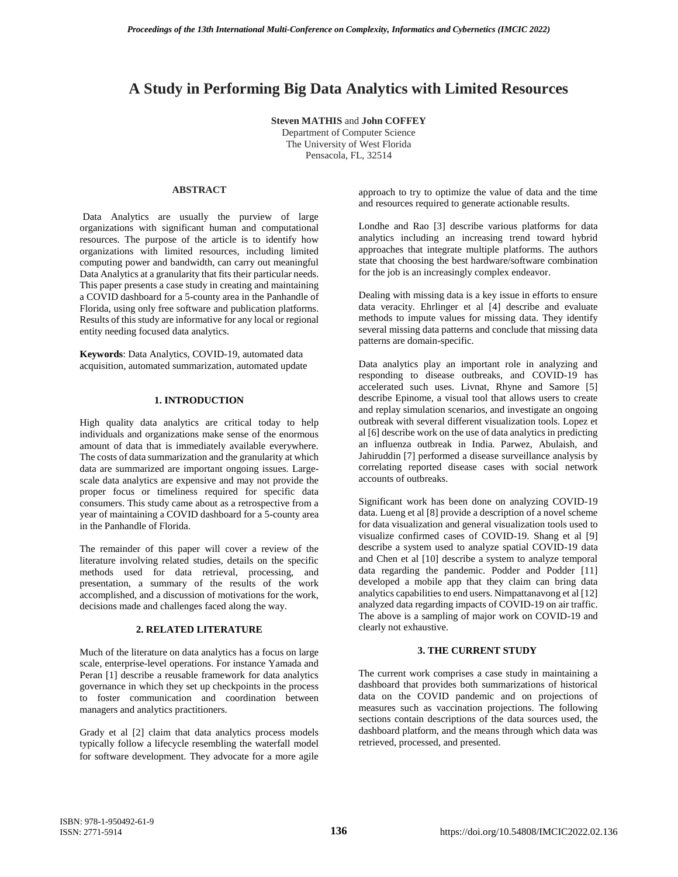# **A Study in Performing Big Data Analytics with Limited Resources**

**Steven MATHIS** and **John COFFEY** Department of Computer Science The University of West Florida

Pensacola, FL, 32514

## **ABSTRACT**

Data Analytics are usually the purview of large organizations with significant human and computational resources. The purpose of the article is to identify how organizations with limited resources, including limited computing power and bandwidth, can carry out meaningful Data Analytics at a granularity that fits their particular needs. This paper presents a case study in creating and maintaining a COVID dashboard for a 5-county area in the Panhandle of Florida, using only free software and publication platforms. Results of this study are informative for any local or regional entity needing focused data analytics.

**Keywords**: Data Analytics, COVID-19, automated data acquisition, automated summarization, automated update

## **1. INTRODUCTION**

High quality data analytics are critical today to help individuals and organizations make sense of the enormous amount of data that is immediately available everywhere. The costs of data summarization and the granularity at which data are summarized are important ongoing issues. Largescale data analytics are expensive and may not provide the proper focus or timeliness required for specific data consumers. This study came about as a retrospective from a year of maintaining a COVID dashboard for a 5-county area in the Panhandle of Florida.

The remainder of this paper will cover a review of the literature involving related studies, details on the specific methods used for data retrieval, processing, and presentation, a summary of the results of the work accomplished, and a discussion of motivations for the work, decisions made and challenges faced along the way.

## **2. RELATED LITERATURE**

Much of the literature on data analytics has a focus on large scale, enterprise-level operations. For instance Yamada and Peran [1] describe a reusable framework for data analytics governance in which they set up checkpoints in the process to foster communication and coordination between managers and analytics practitioners.

Grady et al [2] claim that data analytics process models typically follow a lifecycle resembling the waterfall model for software development. They advocate for a more agile approach to try to optimize the value of data and the time and resources required to generate actionable results.

Londhe and Rao [3] describe various platforms for data analytics including an increasing trend toward hybrid approaches that integrate multiple platforms. The authors state that choosing the best hardware/software combination for the job is an increasingly complex endeavor.

Dealing with missing data is a key issue in efforts to ensure data veracity. Ehrlinger et al [4] describe and evaluate methods to impute values for missing data. They identify several missing data patterns and conclude that missing data patterns are domain-specific.

Data analytics play an important role in analyzing and responding to disease outbreaks, and COVID-19 has accelerated such uses. Livnat, Rhyne and Samore [5] describe Epinome, a visual tool that allows users to create and replay simulation scenarios, and investigate an ongoing outbreak with several different visualization tools. Lopez et al [6] describe work on the use of data analytics in predicting an influenza outbreak in India. Parwez, Abulaish, and Jahiruddin [7] performed a disease surveillance analysis by correlating reported disease cases with social network accounts of outbreaks.

Significant work has been done on analyzing COVID-19 data. Lueng et al [8] provide a description of a novel scheme for data visualization and general visualization tools used to visualize confirmed cases of COVID-19. Shang et al [9] describe a system used to analyze spatial COVID-19 data and Chen et al [10] describe a system to analyze temporal data regarding the pandemic. Podder and Podder [11] developed a mobile app that they claim can bring data analytics capabilities to end users. Nimpattanavong et al [12] analyzed data regarding impacts of COVID-19 on air traffic. The above is a sampling of major work on COVID-19 and clearly not exhaustive.

## **3. THE CURRENT STUDY**

The current work comprises a case study in maintaining a dashboard that provides both summarizations of historical data on the COVID pandemic and on projections of measures such as vaccination projections. The following sections contain descriptions of the data sources used, the dashboard platform, and the means through which data was retrieved, processed, and presented.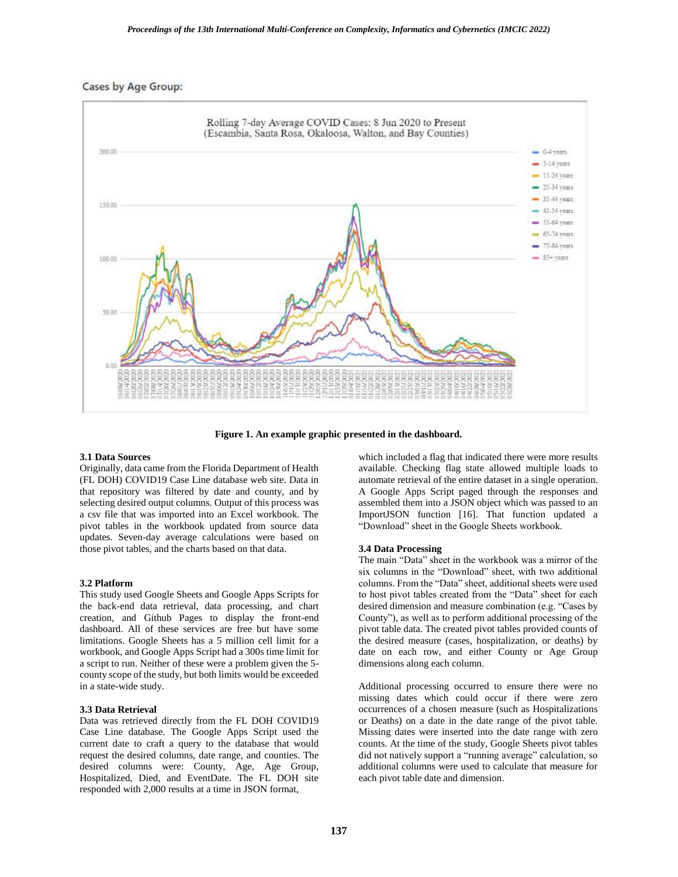## Cases by Age Group:



**Figure 1. An example graphic presented in the dashboard.**

#### **3.1 Data Sources**

Originally, data came from the Florida Department of Health (FL DOH) COVID19 Case Line database web site. Data in that repository was filtered by date and county, and by selecting desired output columns. Output of this process was a csv file that was imported into an Excel workbook. The pivot tables in the workbook updated from source data updates. Seven-day average calculations were based on those pivot tables, and the charts based on that data.

#### **3.2 Platform**

This study used Google Sheets and Google Apps Scripts for the back-end data retrieval, data processing, and chart creation, and Github Pages to display the front-end dashboard. All of these services are free but have some limitations. Google Sheets has a 5 million cell limit for a workbook, and Google Apps Script had a 300s time limit for a script to run. Neither of these were a problem given the 5 county scope of the study, but both limits would be exceeded in a state-wide study.

#### **3.3 Data Retrieval**

Data was retrieved directly from the FL DOH COVID19 Case Line database. The Google Apps Script used the current date to craft a query to the database that would request the desired columns, date range, and counties. The desired columns were: County, Age, Age Group, Hospitalized, Died, and EventDate. The FL DOH site responded with 2,000 results at a time in JSON format,

which included a flag that indicated there were more results available. Checking flag state allowed multiple loads to automate retrieval of the entire dataset in a single operation. A Google Apps Script paged through the responses and assembled them into a JSON object which was passed to an ImportJSON function [16]. That function updated a "Download" sheet in the Google Sheets workbook.

#### **3.4 Data Processing**

The main "Data" sheet in the workbook was a mirror of the six columns in the "Download" sheet, with two additional columns. From the "Data" sheet, additional sheets were used to host pivot tables created from the "Data" sheet for each desired dimension and measure combination (e.g. "Cases by County"), as well as to perform additional processing of the pivot table data. The created pivot tables provided counts of the desired measure (cases, hospitalization, or deaths) by date on each row, and either County or Age Group dimensions along each column.

Additional processing occurred to ensure there were no missing dates which could occur if there were zero occurrences of a chosen measure (such as Hospitalizations or Deaths) on a date in the date range of the pivot table. Missing dates were inserted into the date range with zero counts. At the time of the study, Google Sheets pivot tables did not natively support a "running average" calculation, so additional columns were used to calculate that measure for each pivot table date and dimension.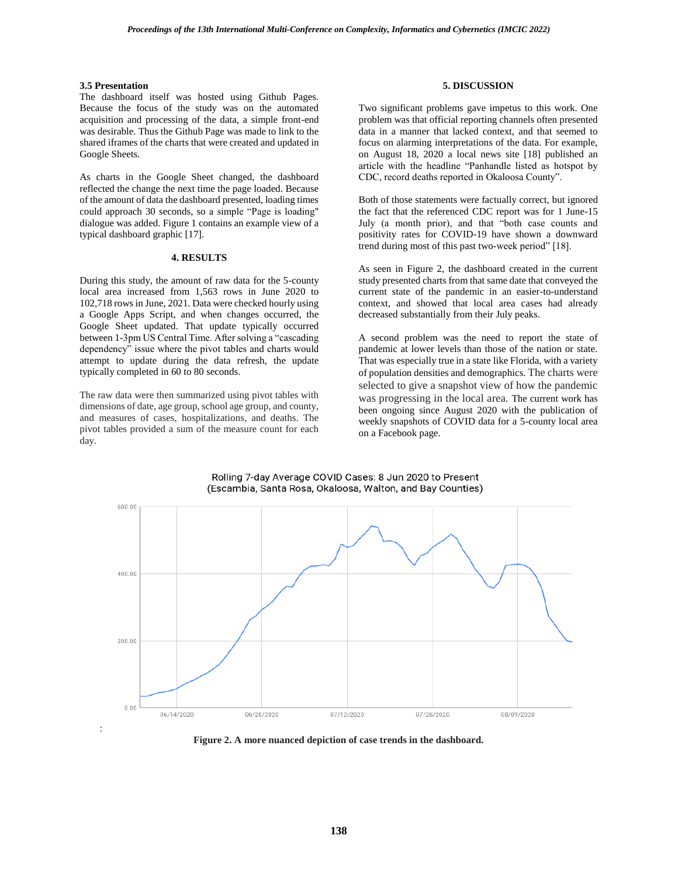## **3.5 Presentation**

:

The dashboard itself was hosted using Github Pages. Because the focus of the study was on the automated acquisition and processing of the data, a simple front-end was desirable. Thus the Github Page was made to link to the shared iframes of the charts that were created and updated in Google Sheets.

As charts in the Google Sheet changed, the dashboard reflected the change the next time the page loaded. Because of the amount of data the dashboard presented, loading times could approach 30 seconds, so a simple "Page is loading" dialogue was added. Figure 1 contains an example view of a typical dashboard graphic [17].

## **4. RESULTS**

During this study, the amount of raw data for the 5-county local area increased from 1,563 rows in June 2020 to 102,718 rows in June, 2021. Data were checked hourly using a Google Apps Script, and when changes occurred, the Google Sheet updated. That update typically occurred between 1-3pm US Central Time. After solving a "cascading dependency" issue where the pivot tables and charts would attempt to update during the data refresh, the update typically completed in 60 to 80 seconds.

The raw data were then summarized using pivot tables with dimensions of date, age group, school age group, and county, and measures of cases, hospitalizations, and deaths. The pivot tables provided a sum of the measure count for each day.

## **5. DISCUSSION**

Two significant problems gave impetus to this work. One problem was that official reporting channels often presented data in a manner that lacked context, and that seemed to focus on alarming interpretations of the data. For example, on August 18, 2020 a local news site [18] published an article with the headline "Panhandle listed as hotspot by CDC, record deaths reported in Okaloosa County".

Both of those statements were factually correct, but ignored the fact that the referenced CDC report was for 1 June-15 July (a month prior), and that "both case counts and positivity rates for COVID-19 have shown a downward trend during most of this past two-week period" [18].

As seen in Figure 2, the dashboard created in the current study presented charts from that same date that conveyed the current state of the pandemic in an easier-to-understand context, and showed that local area cases had already decreased substantially from their July peaks.

A second problem was the need to report the state of pandemic at lower levels than those of the nation or state. That was especially true in a state like Florida, with a variety of population densities and demographics. The charts were selected to give a snapshot view of how the pandemic was progressing in the local area. The current work has been ongoing since August 2020 with the publication of weekly snapshots of COVID data for a 5-county local area on a Facebook page.



Rolling 7-day Average COVID Cases: 8 Jun 2020 to Present (Escambia, Santa Rosa, Okaloosa, Walton, and Bay Counties)

**Figure 2. A more nuanced depiction of case trends in the dashboard.**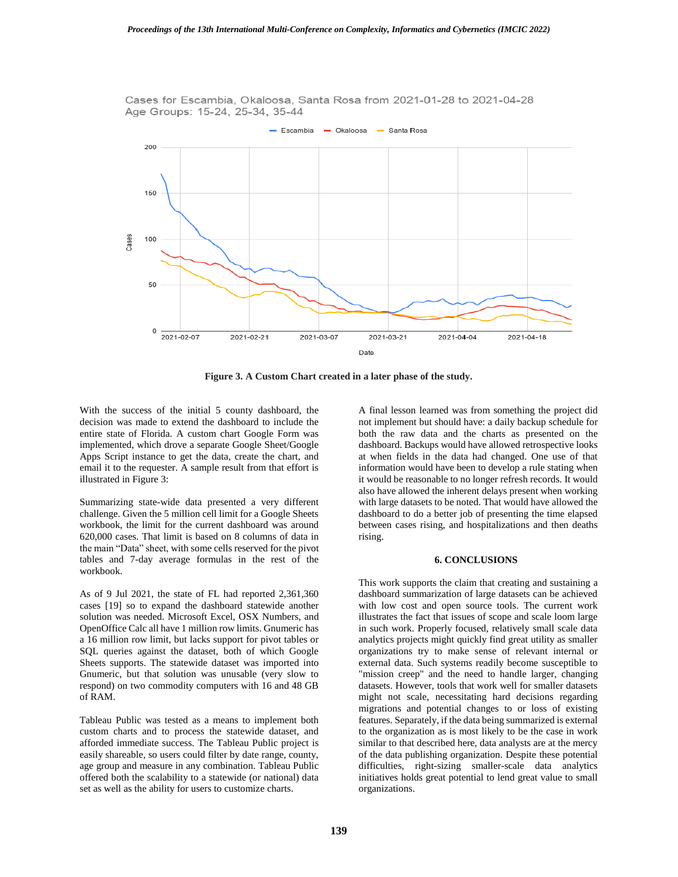Cases for Escambia, Okaloosa, Santa Rosa from 2021-01-28 to 2021-04-28 Age Groups: 15-24, 25-34, 35-44



**Figure 3. A Custom Chart created in a later phase of the study.**

With the success of the initial 5 county dashboard, the decision was made to extend the dashboard to include the entire state of Florida. A custom chart Google Form was implemented, which drove a separate Google Sheet/Google Apps Script instance to get the data, create the chart, and email it to the requester. A sample result from that effort is illustrated in Figure 3:

Summarizing state-wide data presented a very different challenge. Given the 5 million cell limit for a Google Sheets workbook, the limit for the current dashboard was around 620,000 cases. That limit is based on 8 columns of data in the main "Data" sheet, with some cells reserved for the pivot tables and 7-day average formulas in the rest of the workbook.

As of 9 Jul 2021, the state of FL had reported 2,361,360 cases [19] so to expand the dashboard statewide another solution was needed. Microsoft Excel, OSX Numbers, and OpenOffice Calc all have 1 million row limits. Gnumeric has a 16 million row limit, but lacks support for pivot tables or SQL queries against the dataset, both of which Google Sheets supports. The statewide dataset was imported into Gnumeric, but that solution was unusable (very slow to respond) on two commodity computers with 16 and 48 GB of RAM.

Tableau Public was tested as a means to implement both custom charts and to process the statewide dataset, and afforded immediate success. The Tableau Public project is easily shareable, so users could filter by date range, county, age group and measure in any combination. Tableau Public offered both the scalability to a statewide (or national) data set as well as the ability for users to customize charts.

A final lesson learned was from something the project did not implement but should have: a daily backup schedule for both the raw data and the charts as presented on the dashboard. Backups would have allowed retrospective looks at when fields in the data had changed. One use of that information would have been to develop a rule stating when it would be reasonable to no longer refresh records. It would also have allowed the inherent delays present when working with large datasets to be noted. That would have allowed the dashboard to do a better job of presenting the time elapsed between cases rising, and hospitalizations and then deaths rising.

## **6. CONCLUSIONS**

This work supports the claim that creating and sustaining a dashboard summarization of large datasets can be achieved with low cost and open source tools. The current work illustrates the fact that issues of scope and scale loom large in such work. Properly focused, relatively small scale data analytics projects might quickly find great utility as smaller organizations try to make sense of relevant internal or external data. Such systems readily become susceptible to "mission creep" and the need to handle larger, changing datasets. However, tools that work well for smaller datasets might not scale, necessitating hard decisions regarding migrations and potential changes to or loss of existing features. Separately, if the data being summarized is external to the organization as is most likely to be the case in work similar to that described here, data analysts are at the mercy of the data publishing organization. Despite these potential difficulties, right-sizing smaller-scale data analytics initiatives holds great potential to lend great value to small organizations.